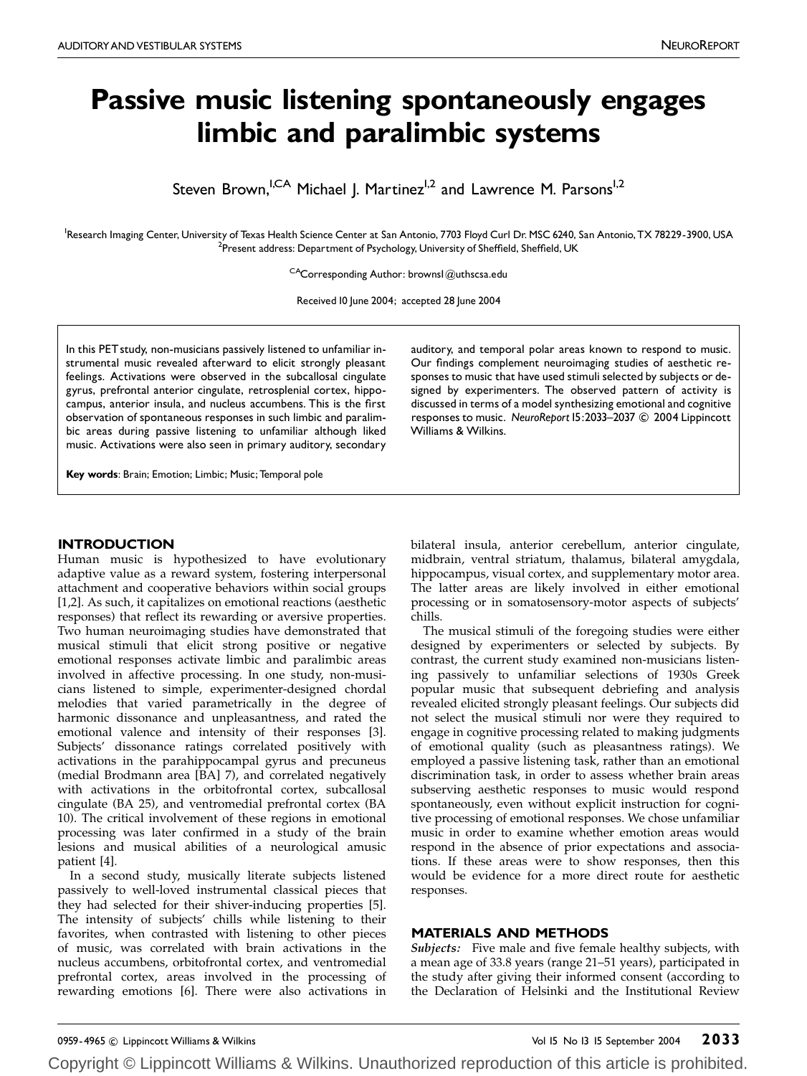# Passive music listening spontaneously engages limbic and paralimbic systems

Steven Brown,<sup>I,CA</sup> Michael J. Martinez<sup>1,2</sup> and Lawrence M. Parsons<sup>1,2</sup>

Research Imaging Center, University of Texas Health Science Center at San Antonio, 7703 Floyd Curl Dr. MSC 6240, San Antonio, TX 78229-3900, USA<br><sup>2</sup> Prosent address: Department of Peychology University of Sheffield, Sheffi <sup>2</sup>Present address: Department of Psychology, University of Sheffield, Sheffield, UK

<sup>CA</sup>Corresponding Author: brownsl@uthscsa.edu

Received I0 June 2004; accepted 28 June 2004

In this PET study, non-musicians passively listened to unfamiliar instrumental music revealed afterward to elicit strongly pleasant feelings. Activations were observed in the subcallosal cingulate gyrus, prefrontal anterior cingulate, retrosplenial cortex, hippocampus, anterior insula, and nucleus accumbens. This is the first observation of spontaneous responses in such limbic and paralimbic areas during passive listening to unfamiliar although liked music. Activations were also seen in primary auditory, secondary auditory, and temporal polar areas known to respond to music. Our findings complement neuroimaging studies of aesthetic responses to music that have used stimuli selected by subjects or designed by experimenters. The observed pattern of activity is discussed in terms of a model synthesizing emotional and cognitive responses to music. NeuroReport I5:2033-2037 © 2004 Lippincott Williams & Wilkins.

Key words: Brain; Emotion; Limbic; Music; Temporal pole

### **INTRODUCTION**

Human music is hypothesized to have evolutionary adaptive value as a reward system, fostering interpersonal attachment and cooperative behaviors within social groups [1,2]. As such, it capitalizes on emotional reactions (aesthetic responses) that reflect its rewarding or aversive properties. Two human neuroimaging studies have demonstrated that musical stimuli that elicit strong positive or negative emotional responses activate limbic and paralimbic areas involved in affective processing. In one study, non-musicians listened to simple, experimenter-designed chordal melodies that varied parametrically in the degree of harmonic dissonance and unpleasantness, and rated the emotional valence and intensity of their responses [3]. Subjects' dissonance ratings correlated positively with activations in the parahippocampal gyrus and precuneus (medial Brodmann area [BA] 7), and correlated negatively with activations in the orbitofrontal cortex, subcallosal cingulate (BA 25), and ventromedial prefrontal cortex (BA 10). The critical involvement of these regions in emotional processing was later confirmed in a study of the brain lesions and musical abilities of a neurological amusic patient [4].

In a second study, musically literate subjects listened passively to well-loved instrumental classical pieces that they had selected for their shiver-inducing properties [5]. The intensity of subjects' chills while listening to their favorites, when contrasted with listening to other pieces of music, was correlated with brain activations in the nucleus accumbens, orbitofrontal cortex, and ventromedial prefrontal cortex, areas involved in the processing of rewarding emotions [6]. There were also activations in bilateral insula, anterior cerebellum, anterior cingulate, midbrain, ventral striatum, thalamus, bilateral amygdala, hippocampus, visual cortex, and supplementary motor area. The latter areas are likely involved in either emotional processing or in somatosensory-motor aspects of subjects' chills.

The musical stimuli of the foregoing studies were either designed by experimenters or selected by subjects. By contrast, the current study examined non-musicians listening passively to unfamiliar selections of 1930s Greek popular music that subsequent debriefing and analysis revealed elicited strongly pleasant feelings. Our subjects did not select the musical stimuli nor were they required to engage in cognitive processing related to making judgments of emotional quality (such as pleasantness ratings). We employed a passive listening task, rather than an emotional discrimination task, in order to assess whether brain areas subserving aesthetic responses to music would respond spontaneously, even without explicit instruction for cognitive processing of emotional responses. We chose unfamiliar music in order to examine whether emotion areas would respond in the absence of prior expectations and associations. If these areas were to show responses, then this would be evidence for a more direct route for aesthetic responses.

### MATERIALS AND METHODS

Subjects: Five male and five female healthy subjects, with a mean age of 33.8 years (range 21–51 years), participated in the study after giving their informed consent (according to the Declaration of Helsinki and the Institutional Review

0959-4965  $\odot$  Lippincott Williams & Wilkins  $\cdots$  Vol 15 No 13 15 September 2004 2033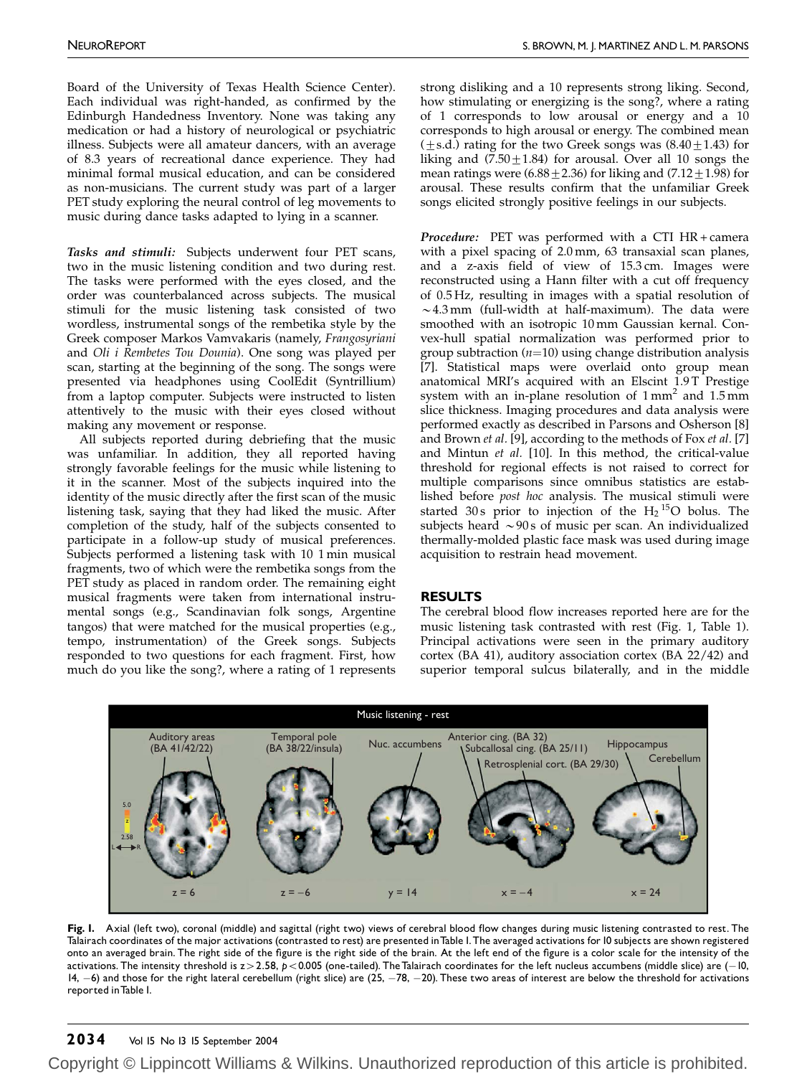Board of the University of Texas Health Science Center). Each individual was right-handed, as confirmed by the Edinburgh Handedness Inventory. None was taking any medication or had a history of neurological or psychiatric illness. Subjects were all amateur dancers, with an average of 8.3 years of recreational dance experience. They had minimal formal musical education, and can be considered as non-musicians. The current study was part of a larger PET study exploring the neural control of leg movements to music during dance tasks adapted to lying in a scanner.

Tasks and stimuli: Subjects underwent four PET scans, two in the music listening condition and two during rest. The tasks were performed with the eyes closed, and the order was counterbalanced across subjects. The musical stimuli for the music listening task consisted of two wordless, instrumental songs of the rembetika style by the Greek composer Markos Vamvakaris (namely, Frangosyriani and Oli i Rembetes Tou Dounia). One song was played per scan, starting at the beginning of the song. The songs were presented via headphones using CoolEdit (Syntrillium) from a laptop computer. Subjects were instructed to listen attentively to the music with their eyes closed without making any movement or response.

All subjects reported during debriefing that the music was unfamiliar. In addition, they all reported having strongly favorable feelings for the music while listening to it in the scanner. Most of the subjects inquired into the identity of the music directly after the first scan of the music listening task, saying that they had liked the music. After completion of the study, half of the subjects consented to participate in a follow-up study of musical preferences. Subjects performed a listening task with 10 1 min musical fragments, two of which were the rembetika songs from the PET study as placed in random order. The remaining eight musical fragments were taken from international instrumental songs (e.g., Scandinavian folk songs, Argentine tangos) that were matched for the musical properties (e.g., tempo, instrumentation) of the Greek songs. Subjects responded to two questions for each fragment. First, how much do you like the song?, where a rating of 1 represents strong disliking and a 10 represents strong liking. Second, how stimulating or energizing is the song?, where a rating of 1 corresponds to low arousal or energy and a 10 corresponds to high arousal or energy. The combined mean  $(\pm s.d.)$  rating for the two Greek songs was (8.40 $\pm$ 1.43) for liking and  $(7.50 \pm 1.84)$  for arousal. Over all 10 songs the mean ratings were  $(6.88 \pm 2.36)$  for liking and  $(7.12 \pm 1.98)$  for arousal. These results confirm that the unfamiliar Greek songs elicited strongly positive feelings in our subjects.

Procedure: PET was performed with a CTI HR + camera with a pixel spacing of 2.0 mm, 63 transaxial scan planes, and a z-axis field of view of 15.3 cm. Images were reconstructed using a Hann filter with a cut off frequency of 0.5 Hz, resulting in images with a spatial resolution of  $\sim$  4.3 mm (full-width at half-maximum). The data were smoothed with an isotropic 10 mm Gaussian kernal. Convex-hull spatial normalization was performed prior to group subtraction  $(n=10)$  using change distribution analysis [7]. Statistical maps were overlaid onto group mean anatomical MRI's acquired with an Elscint 1.9T Prestige system with an in-plane resolution of  $1 \text{ mm}^2$  and  $1.5 \text{ mm}$ slice thickness. Imaging procedures and data analysis were performed exactly as described in Parsons and Osherson [8] and Brown et al. [9], according to the methods of Fox et al. [7] and Mintun et al. [10]. In this method, the critical-value threshold for regional effects is not raised to correct for multiple comparisons since omnibus statistics are established before post hoc analysis. The musical stimuli were started 30 s prior to injection of the  $H<sub>2</sub>$ <sup>15</sup>O bolus. The subjects heard  $\sim$ 90 s of music per scan. An individualized thermally-molded plastic face mask was used during image acquisition to restrain head movement.

# RESULTS

The cerebral blood flow increases reported here are for the music listening task contrasted with rest (Fig. 1, Table 1). Principal activations were seen in the primary auditory cortex (BA 41), auditory association cortex (BA 22/42) and superior temporal sulcus bilaterally, and in the middle



Fig. I. Axial (left two), coronal (middle) and sagittal (right two) views of cerebral blood flow changes during music listening contrasted to rest. The Talairach coordinates of the major activations (contrasted to rest) are presented inTable 1.The averaged activations for 10 subjects are shown registered onto an averaged brain. The right side of the figure is the right side of the brain. At the left end of the figure is a color scale for the intensity of the activations. The intensity threshold is z>2.58, p<0.005 (one-tailed). The Talairach coordinates for the left nucleus accumbens (middle slice) are (—10, 14, -6) and those for the right lateral cerebellum (right slice) are (25, -78, -20). These two areas of interest are below the threshold for activations reported inTable 1.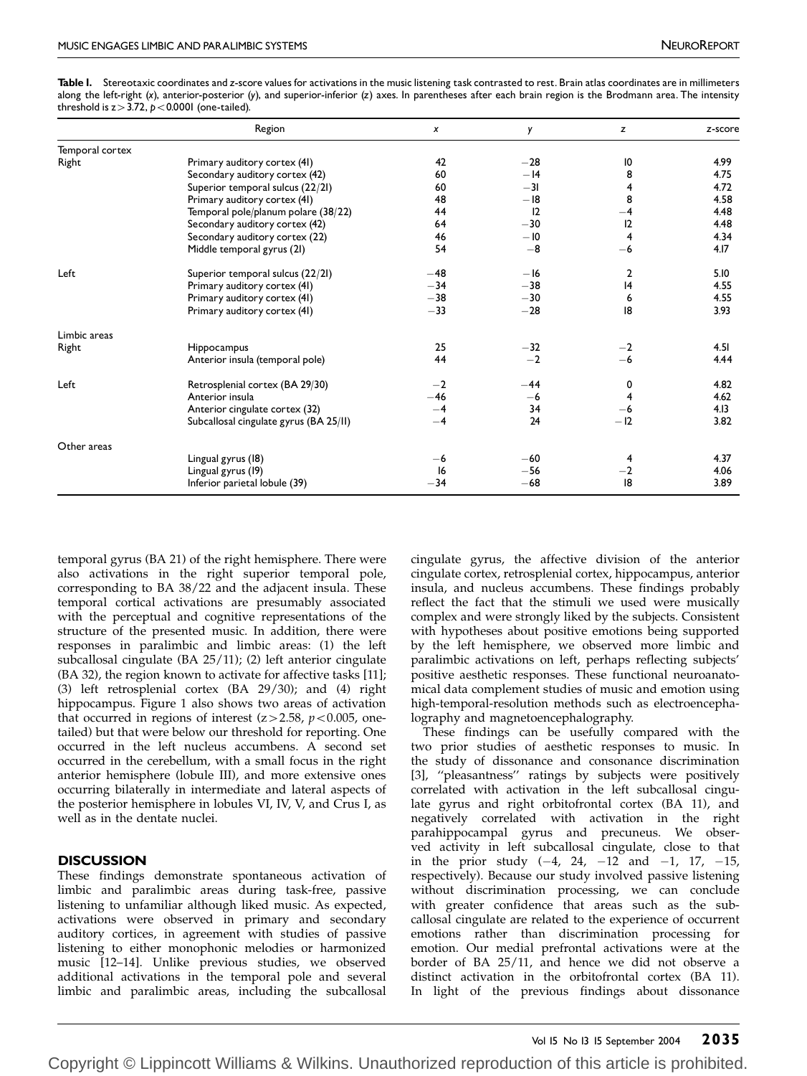Table I. Stereotaxic coordinates and z-score values for activations in the music listening task contrasted to rest. Brain atlas coordinates are in millimeters along the left-right (x), anterior-posterior (y), and superior-inferior (z) axes. In parentheses after each brain region is the Brodmann area. The intensity threshold is  $z > 3.72$ ,  $p < 0.0001$  (one-tailed).

|                 | Region                                 | x     | y     | z              | z-score |
|-----------------|----------------------------------------|-------|-------|----------------|---------|
| Temporal cortex |                                        |       |       |                |         |
| Right           | Primary auditory cortex (4l)           | 42    | $-28$ | 10             | 4.99    |
|                 | Secondary auditory cortex (42)         | 60    | $-14$ | 8              | 4.75    |
|                 | Superior temporal sulcus (22/21)       | 60    | $-31$ | 4              | 4.72    |
|                 | Primary auditory cortex (41)           | 48    | $-18$ | 8              | 4.58    |
|                 | Temporal pole/planum polare (38/22)    | 44    | 12    | $-4$           | 4.48    |
|                 | Secondary auditory cortex (42)         | 64    | $-30$ | 12             | 4.48    |
|                 | Secondary auditory cortex (22)         | 46    | $-10$ | $\overline{4}$ | 4.34    |
|                 | Middle temporal gyrus (2l)             | 54    | $-8$  | $-6$           | 4.17    |
| Left            | Superior temporal sulcus (22/2l)       | $-48$ | $-16$ | 2              | 5.10    |
|                 | Primary auditory cortex (41)           | $-34$ | $-38$ | 4              | 4.55    |
|                 | Primary auditory cortex (4l)           | $-38$ | $-30$ | 6              | 4.55    |
|                 | Primary auditory cortex (41)           | $-33$ | $-28$ | 18             | 3.93    |
| Limbic areas    |                                        |       |       |                |         |
| Right           | Hippocampus                            | 25    | $-32$ | $-2$           | 4.5I    |
|                 | Anterior insula (temporal pole)        | 44    | $-2$  | $-6$           | 4.44    |
| Left            | Retrosplenial cortex (BA 29/30)        | $-2$  | $-44$ | 0              | 4.82    |
|                 | Anterior insula                        | $-46$ | $-6$  | 4              | 4.62    |
|                 | Anterior cingulate cortex (32)         | $-4$  | 34    | $-6$           | 4.13    |
|                 | Subcallosal cingulate gyrus (BA 25/II) | $-4$  | 24    | $-12$          | 3.82    |
| Other areas     |                                        |       |       |                |         |
|                 | Lingual gyrus (18)                     | -6    | $-60$ | 4              | 4.37    |
|                 | Lingual gyrus (19)                     | 16    | $-56$ | $-2$           | 4.06    |
|                 | Inferior parietal lobule (39)          | $-34$ | $-68$ | 18             | 3.89    |

temporal gyrus (BA 21) of the right hemisphere. There were also activations in the right superior temporal pole, corresponding to BA 38/22 and the adjacent insula. These temporal cortical activations are presumably associated with the perceptual and cognitive representations of the structure of the presented music. In addition, there were responses in paralimbic and limbic areas: (1) the left subcallosal cingulate (BA 25/11); (2) left anterior cingulate (BA 32), the region known to activate for affective tasks [11]; (3) left retrosplenial cortex (BA 29/30); and (4) right hippocampus. Figure 1 also shows two areas of activation that occurred in regions of interest  $(z>2.58, p<0.005,$  onetailed) but that were below our threshold for reporting. One occurred in the left nucleus accumbens. A second set occurred in the cerebellum, with a small focus in the right anterior hemisphere (lobule III), and more extensive ones occurring bilaterally in intermediate and lateral aspects of the posterior hemisphere in lobules VI, IV, V, and Crus I, as well as in the dentate nuclei.

## **DISCUSSION**

These findings demonstrate spontaneous activation of limbic and paralimbic areas during task-free, passive listening to unfamiliar although liked music. As expected, activations were observed in primary and secondary auditory cortices, in agreement with studies of passive listening to either monophonic melodies or harmonized music [12–14]. Unlike previous studies, we observed additional activations in the temporal pole and several limbic and paralimbic areas, including the subcallosal

cingulate gyrus, the affective division of the anterior cingulate cortex, retrosplenial cortex, hippocampus, anterior insula, and nucleus accumbens. These findings probably reflect the fact that the stimuli we used were musically complex and were strongly liked by the subjects. Consistent with hypotheses about positive emotions being supported by the left hemisphere, we observed more limbic and paralimbic activations on left, perhaps reflecting subjects' positive aesthetic responses. These functional neuroanatomical data complement studies of music and emotion using high-temporal-resolution methods such as electroencephalography and magnetoencephalography.

These findings can be usefully compared with the two prior studies of aesthetic responses to music. In the study of dissonance and consonance discrimination [3], ''pleasantness'' ratings by subjects were positively correlated with activation in the left subcallosal cingulate gyrus and right orbitofrontal cortex (BA 11), and negatively correlated with activation in the right parahippocampal gyrus and precuneus. We observed activity in left subcallosal cingulate, close to that in the prior study  $(-4, 24, -12$  and  $-1, 17, -15,$ respectively). Because our study involved passive listening without discrimination processing, we can conclude with greater confidence that areas such as the subcallosal cingulate are related to the experience of occurrent emotions rather than discrimination processing for emotion. Our medial prefrontal activations were at the border of BA 25/11, and hence we did not observe a distinct activation in the orbitofrontal cortex (BA 11). In light of the previous findings about dissonance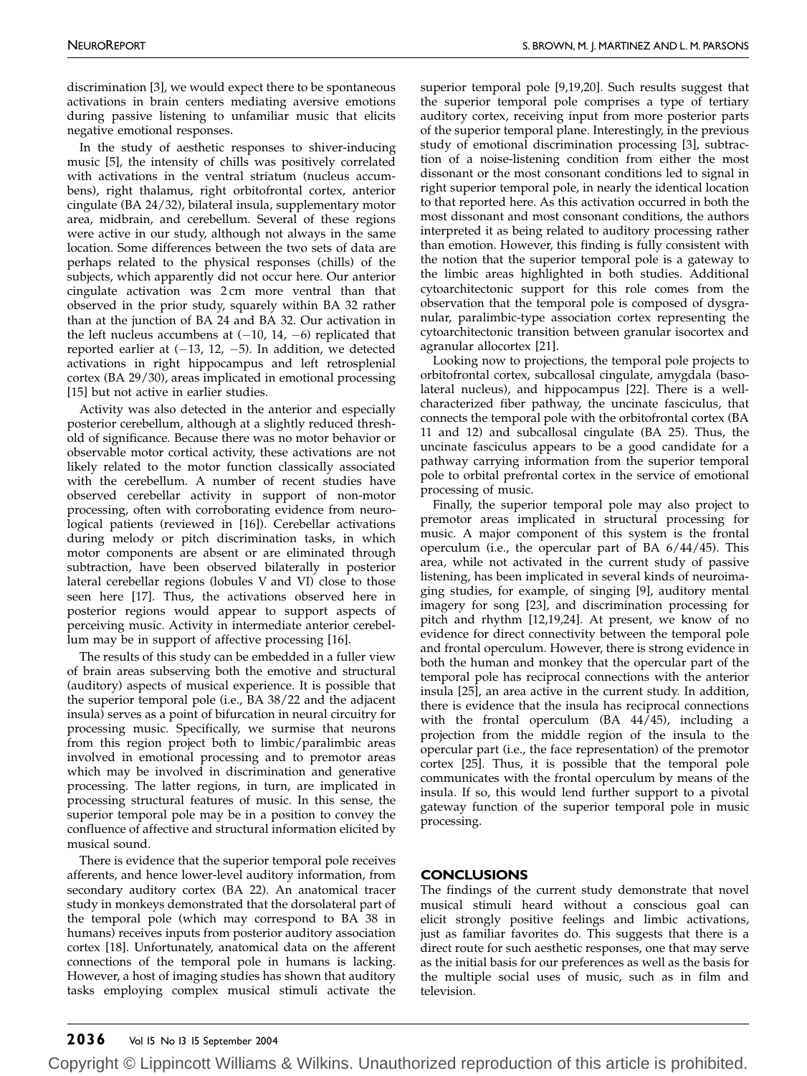discrimination [3], we would expect there to be spontaneous activations in brain centers mediating aversive emotions during passive listening to unfamiliar music that elicits negative emotional responses.

In the study of aesthetic responses to shiver-inducing music [5], the intensity of chills was positively correlated with activations in the ventral striatum (nucleus accumbens), right thalamus, right orbitofrontal cortex, anterior cingulate (BA 24/32), bilateral insula, supplementary motor area, midbrain, and cerebellum. Several of these regions were active in our study, although not always in the same location. Some differences between the two sets of data are perhaps related to the physical responses (chills) of the subjects, which apparently did not occur here. Our anterior cingulate activation was 2 cm more ventral than that observed in the prior study, squarely within BA 32 rather than at the junction of BA 24 and BA 32. Our activation in the left nucleus accumbens at  $(-10, 14, -6)$  replicated that reported earlier at (-13, 12, -5). In addition, we detected activations in right hippocampus and left retrosplenial cortex (BA 29/30), areas implicated in emotional processing [15] but not active in earlier studies.

Activity was also detected in the anterior and especially posterior cerebellum, although at a slightly reduced threshold of significance. Because there was no motor behavior or observable motor cortical activity, these activations are not likely related to the motor function classically associated with the cerebellum. A number of recent studies have observed cerebellar activity in support of non-motor processing, often with corroborating evidence from neurological patients (reviewed in [16]). Cerebellar activations during melody or pitch discrimination tasks, in which motor components are absent or are eliminated through subtraction, have been observed bilaterally in posterior lateral cerebellar regions (lobules V and VI) close to those seen here [17]. Thus, the activations observed here in posterior regions would appear to support aspects of perceiving music. Activity in intermediate anterior cerebellum may be in support of affective processing [16].

The results of this study can be embedded in a fuller view of brain areas subserving both the emotive and structural (auditory) aspects of musical experience. It is possible that the superior temporal pole (i.e., BA 38/22 and the adjacent insula) serves as a point of bifurcation in neural circuitry for processing music. Specifically, we surmise that neurons from this region project both to limbic/paralimbic areas involved in emotional processing and to premotor areas which may be involved in discrimination and generative processing. The latter regions, in turn, are implicated in processing structural features of music. In this sense, the superior temporal pole may be in a position to convey the confluence of affective and structural information elicited by musical sound.

There is evidence that the superior temporal pole receives afferents, and hence lower-level auditory information, from secondary auditory cortex (BA 22). An anatomical tracer study in monkeys demonstrated that the dorsolateral part of the temporal pole (which may correspond to BA 38 in humans) receives inputs from posterior auditory association cortex [18]. Unfortunately, anatomical data on the afferent connections of the temporal pole in humans is lacking. However, a host of imaging studies has shown that auditory tasks employing complex musical stimuli activate the superior temporal pole [9,19,20]. Such results suggest that the superior temporal pole comprises a type of tertiary auditory cortex, receiving input from more posterior parts of the superior temporal plane. Interestingly, in the previous study of emotional discrimination processing [3], subtraction of a noise-listening condition from either the most dissonant or the most consonant conditions led to signal in right superior temporal pole, in nearly the identical location to that reported here. As this activation occurred in both the most dissonant and most consonant conditions, the authors interpreted it as being related to auditory processing rather than emotion. However, this finding is fully consistent with the notion that the superior temporal pole is a gateway to the limbic areas highlighted in both studies. Additional cytoarchitectonic support for this role comes from the observation that the temporal pole is composed of dysgranular, paralimbic-type association cortex representing the cytoarchitectonic transition between granular isocortex and agranular allocortex [21].

Looking now to projections, the temporal pole projects to orbitofrontal cortex, subcallosal cingulate, amygdala (basolateral nucleus), and hippocampus [22]. There is a wellcharacterized fiber pathway, the uncinate fasciculus, that connects the temporal pole with the orbitofrontal cortex (BA 11 and 12) and subcallosal cingulate (BA 25). Thus, the uncinate fasciculus appears to be a good candidate for a pathway carrying information from the superior temporal pole to orbital prefrontal cortex in the service of emotional processing of music.

Finally, the superior temporal pole may also project to premotor areas implicated in structural processing for music. A major component of this system is the frontal operculum (i.e., the opercular part of BA 6/44/45). This area, while not activated in the current study of passive listening, has been implicated in several kinds of neuroimaging studies, for example, of singing [9], auditory mental imagery for song [23], and discrimination processing for pitch and rhythm [12,19,24]. At present, we know of no evidence for direct connectivity between the temporal pole and frontal operculum. However, there is strong evidence in both the human and monkey that the opercular part of the temporal pole has reciprocal connections with the anterior insula [25], an area active in the current study. In addition, there is evidence that the insula has reciprocal connections with the frontal operculum (BA 44/45), including a projection from the middle region of the insula to the opercular part (i.e., the face representation) of the premotor cortex [25]. Thus, it is possible that the temporal pole communicates with the frontal operculum by means of the insula. If so, this would lend further support to a pivotal gateway function of the superior temporal pole in music processing.

# **CONCLUSIONS**

The findings of the current study demonstrate that novel musical stimuli heard without a conscious goal can elicit strongly positive feelings and limbic activations, just as familiar favorites do. This suggests that there is a direct route for such aesthetic responses, one that may serve as the initial basis for our preferences as well as the basis for the multiple social uses of music, such as in film and television.